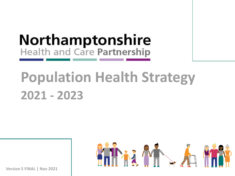# **Northamptonshire** Health and Care Partnership

# **Population Health Strategy 2021 - 2023**



**Version 5 FINAL | Nov 2021**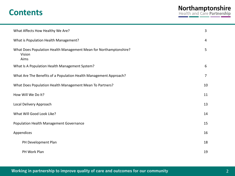### **Contents**

| What Affects How Healthy We Are?                                                    | 3  |
|-------------------------------------------------------------------------------------|----|
| What is Population Health Management?                                               | 4  |
| What Does Population Health Management Mean for Northamptonshire?<br>Vision<br>Aims | 5  |
| What Is A Population Health Management System?                                      | 6  |
| What Are The Benefits of a Population Health Management Approach?                   | 7  |
| What Does Population Health Management Mean To Partners?                            | 10 |
| How Will We Do It?                                                                  | 11 |
| Local Delivery Approach                                                             | 13 |
| What Will Good Look Like?                                                           | 14 |
| Population Health Management Governance                                             | 15 |
| Appendices                                                                          | 16 |
| PH Development Plan                                                                 | 18 |
| PH Work Plan                                                                        | 19 |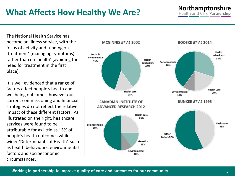### **What Affects How Healthy We Are?**

#### **Northamptonshire Health and Care Partnership**

The National Health Service has become an illness service, with the focus of activity and funding on 'treatment' (managing symptoms) rather than on 'health' (avoiding the need for treatment in the first place).

It is well evidenced that a range of factors affect people's health and wellbeing outcomes, however our current commissioning and financial strategies do not reflect the relative impact of these different factors. As illustrated on the right, healthcare services were found to be attributable for as little as 15% of people's health outcomes while wider 'Determinants of Health', such as health behaviours, environmental factors and socioeconomic circumstances.

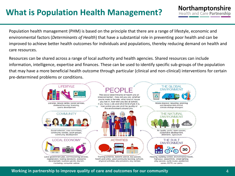### **What is Population Health Management?**

Population health management (PHM) is based on the principle that there are a range of lifestyle, economic and environmental factors (*Determinants of Health*) that have a substantial role in preventing poor health and can be improved to achieve better health outcomes for individuals and populations, thereby reducing demand on health and care resources.

Resources can be shared across a range of local authority and health agencies. Shared resources can include information, intelligence, expertise and finances. These can be used to identify specific sub-groups of the population that may have a more beneficial health outcome through particular (clinical and non-clinical) interventions for certain pre-determined problems or conditions.



#### **Working in partnership to improve quality of care and outcomes for our community**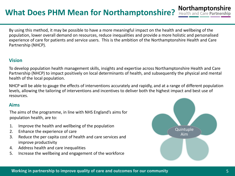#### **Northamptonshire**<br>Health and Care Partnership **What Does PHM Mean for Northamptonshire?**

By using this method, it may be possible to have a more meaningful impact on the health and wellbeing of the population, lower overall demand on resources, reduce inequalities and provide a more holistic and personalised experience of care for patients and service users. This is the ambition of the Northamptonshire Health and Care Partnership (NHCP).

#### **Vision**

To develop population health management skills, insights and expertise across Northamptonshire Health and Care Partnership (NHCP) to impact positively on local determinants of health, and subsequently the physical and mental health of the local population.

NHCP will be able to gauge the effects of interventions accurately and rapidly, and at a range of different population levels, allowing the tailoring of interventions and incentives to deliver both the highest impact and best use of resources.

#### **Aims**

The aims of the programme, in line with NHS England's aims for population health, are to:

- 1. Improve the health and wellbeing of the population
- 2. Enhance the experience of care
- 3. Reduce the per capita cost of health and care services and improve productivity
- 4. Address health and care inequalities
- 5. Increase the wellbeing and engagement of the workforce

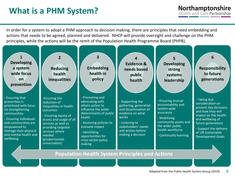### **What is a PHM System?**

In order for a system to adopt a PHM approach to decision-making, there are principles that need embedding and actions that needs to be agreed, planned and delivered. NHCP will provide oversight and challenge on the PHM principles, while the actions will be the remit of the Population Health Programme Board (PHPB).



**Mode is the care of care and outcomes for the Public Health System Group (2019)**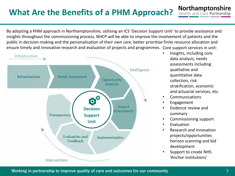### **What Are the Benefits of a PHM Approach?**

By adopting a PHM approach in Northamptonshire, utilising an ICS 'Decision Support Unit' to provide assistance and insights throughout the commissioning process, NHCP will be able to improve the involvement of patients and the public in decision-making and the personalisation of their own care, better prioritise finite resource allocation and ensure timely and innovative research and evaluation of projects and programmes. Core support services in unit:



• Insights, including core data analysis, needs assessments including qualitative and quantitative data collection, risk stratification, economic and actuarial services, etc.

Northamptonshire<br>Health and Care Partnership

- **Communications**
- **Engagement**
- Evidence review and summary
- Commissioning support
- **Evaluation**
- Research and innovation projects/opportunities horizon scanning and bid development
- Support to create NHS 'Anchor institutions'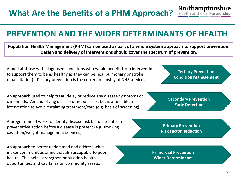### **PREVENTION AND THE WIDER DETERMINANTS OF HEALTH**

**Population Health Management (PHM) can be used as part of a whole system approach to support prevention. Design and delivery of interventions should cover the spectrum of prevention.**

Aimed at those with diagnosed conditions who would benefit from interventions to support them to be as healthy as they can be (e.g. pulmonary or stroke rehabilitation). Tertiary prevention is the current mainstay of NHS services.

An approach used to help treat, delay or reduce any disease symptoms or care needs. An underlying disease or need exists, but is amenable to intervention to avoid escalating treatment/care (e.g. basis of screening).

A programme of work to identify disease risk factors to inform preventative action before a disease is present (e.g. smoking cessation/weight management services).

An approach to better understand and address what makes communities or individuals susceptible to poor health. This helps strengthen population health opportunities and capitalise on community assets.



**Primordial Prevention Wider Determinants**

**Tertiary Prevention Condition Management**

Northamptonshire **Health and Care Partnership** 

**Secondary Prevention Early Detection**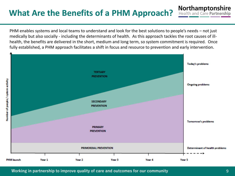### **What Are the Benefits of a PHM Approach?**

PHM enables systems and local teams to understand and look for the best solutions to people's needs – not just medically but also socially - including the determinants of health. As this approach tackles the root causes of illhealth, the benefits are delivered in the short, medium and long term, so system commitment is required. Once fully established, a PHM approach facilitates a shift in focus and resource to prevention and early intervention.



Northamptonshire<br>Health and Care Partnership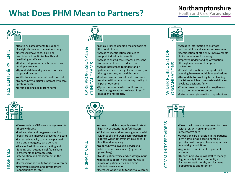### **What Does PHM Mean to Partners?**

## Northamptonshire<br>Health and Care Partnership





HOSPITALS

- •Clearer role in MDT case management for those with LTCs
- •Reduced demand on general medical beds through improved preventative care
- •Increased capacity to manage planned care and emergency care demand
- •Greater flexibility on contracting and funding with potential risk/gain share agreements to promote early intervention and management in the community
- •Increased opportunity for portfolio career
- •Improved research and development opportunities for staff
- CLINICAL TEAMS
- •Clinically-based decision-making tools at the point of care •Access re-identification services to support individual intervention
	- •Access to shared care records across the continuum of care to reduce risk
	- •Access intelligence to understand if patients receive the right level of care, in the right setting, at the right time
	- •Reduced overall cost of health and care services without compromising quality of input or outcome
	- •Opportunity to develop public sector
	- 'anchor organisations' to invest in staff capability and capacity



PRIMARY CARE

- •Access to insights on patients/cohorts at high risk of deterioration/admission
- •Collaborative working arrangements with wider public and VCSE sector partners to address wider determinant causes of illhealth and inequality
- •Opportunity to invest in services to address non-clinical need (e.g. social prescribing)
- •Louder patient voice and co-design input
- •Specialist support in the community to advise on patient crises and avoid admissions/escalation
- •Increased opportunity for portfolio career





COMMUNITY PROVIDERS

- •Clear role in case management for those with LTCs, with an emphasis on preventative care
- •A focus on care provision in the patients own home, or as close to home as possible, with support from adaptations, AI and digital solutions
- •A genuine commitment to parity of esteem
- •Opportunities to upskill staff to manage higher acuity in the community – increasing staff morale, employment opportunities and retention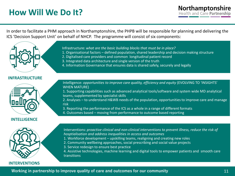### **How Will We Do It?**

In order to facilitate a PHM approach in Northamptonshire, the PHPB will be responsible for planning and delivering the ICS 'Decision Support Unit' on behalf of NHCP. The programme will consist of six components:



- 1. Organisational factors defined population, shared leadership and decision making structure
- 2. Digitalised care providers and common longitudinal patient record
- 3. Integrated data architecture and single version of the truth
- 4. Information Governance that ensures data is shared safely, securely and legally

#### **INFRASTRUCTURE**



#### **INTELLIGENCE**



**INTERVENTIONS**

Intelligence: *opportunities to improve care quality, efficiency and equity* (EVOLVING TO 'INSIGHTS' WHEN MATURE)

1. Supporting capabilities such as advanced analytical tools/software and system wide MD analytical teams, supplemented by specialist skills

2. Analyses – to understand H&WB needs of the population, opportunities to improve care and manage risk

3. Reporting the performance of the ICS as a whole in a range of different formats

4. Outcomes based – moving from performance to outcome based reporting

Interventions: *proactive clinical and non-clinical interventions to prevent illness, reduce the risk of hosptialisation and address inequalities in access and outcomes*

- 1. Workforce development upskilling teams, realigning and creating new roles
- 2. Community wellbeing approaches, social prescribing and social value projects
- 3. Service redesign to ensure best practice

4. Assistive technologies, machine learning and digital tools to empower patients and smooth care transitions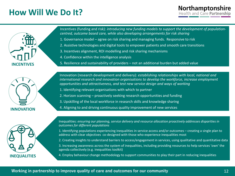### **How Will We Do It?**



Incentives (funding and risk): *introducing new funding models to support the development of populationcentred, outcome based care, while also developing arrangements for risk sharing*

- 1. Governance model agree on risk sharing and managing funds. Responsive to risk
- 2. Assistive technologies and digital tools to empower patients and smooth care transitions
- 3. Incentives alignment, ROI modelling and risk sharing mechanisms
- 4. Confidence within the intelligence analysis
- 5. Resilience and sustainability of providers not an additional burden but added value



Innovation (research development and delivery): *establishing relationships with local, national and international research and innovation organisations to develop the workforce, increase employment opportunities and attractiveness, and test new service design and ways of working*

- 1. Identifying relevant organisations with which to partner
- 2. Horizon scanning proactively seeking research opportunities and funding
- 3. Upskilling of the local workforce in research skills and knowledge sharing
- 4. Aligning to and driving continuous quality improvement of new services



Inequalities: *ensuring our planning, service delivery and resource allocation proactively addresses disparities in outcomes for different populations*

1. Identifying populations experiencing inequalities in service access and/or outcomes – creating a single plan to address with clear objectives co-designed with those who experience inequalities most

2. Creating insights to understand barriers to access/engagement in services, using qualitative and quantitative data

3. Increasing awareness across the system of inequalities, including providing resources to help services 'own' the agenda collectively (e.g. inequalities toolkit)

4. Employ behaviour change methodology to support communities to play their part in reducing inequalities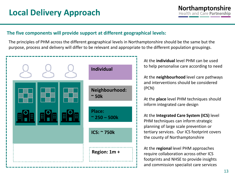#### **The five components will provide support at different geographical levels:**

The principles of PHM across the different geographical levels in Northamptonshire should be the same but the purpose, process and delivery will differ to be relevant and appropriate to the different population groupings.



At the **individual** level PHM can be used to help personalise care according to need

At the **neighbourhood** level care pathways and interventions should be considered (PCN)

At the **place** level PHM techniques should inform integrated care design

At the **Integrated Care System (ICS)** level PHM techniques can inform strategic planning of large scale prevention or tertiary services. Our ICS footprint covers the county of Northamptonshire

At the **regional** level PHM approaches require collaboration across other ICS footprints and NHSE to provide insights and commission specialist care services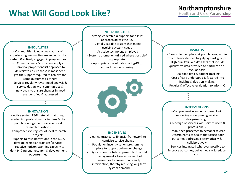### **What Will Good Look Like?**

# Northamptonshire<br>Health and Care Partnership

**INFRASTRUCTURE** - Strong leadership & support for a PHM

approach across the ICS - Digitally capable system that meets evolving system needs - Assistive technology employed - System automation utilised where possible/ appropriate - Appropriate use of data sharing/IG to support decision-making



#### **INCENTIVES**

- Clear contractual & financial framework to incentivise service change

- Population incentivisation programme in place to support behaviour change System control total approach to financial

management allows movement of resources to prevention & early intervention, thereby reducing long term system demand

#### **INSIGHTS**

- Clearly defined places & populations, within which clearly defined target/high risk groups - High quality linked data sets that include qualitative data provided to partners on a regular basis - Real time data & patient tracking - Cost of care understood & factored into insights & decision-making - Regular & effective evaluation to inform QI

#### **INTERVENTIONS**

- Comprehensive evidence-based logic modelling underpinning service design/redesign

- Co-design of services with service users & professionals

- Established processes to personalise care

- Determinants of health that cause poor outcomes addressed systematically & collaboratively - Services integrated wherever possible to improve outcomes, deliver locally & reduce

cost

*Allena* 

#### **INEQUALITIES**

- Communities & individuals at risk of experiencing inequalities are known to the system & actively engaged in programmes

- Commissioners & providers apply a universal proportionalist approach to delivery to ensure those in most need get the support required to achieve the same outcomes as others
- Services regularly revisit need analysis & service design with communities & individuals to ensure changes in need are identified & addressed

#### **INNOVATION**

- Active system R&D network that brings academics, professionals, clinicians & the population together to answer local research questions - Comprehensive register of local research projects - Support to test innovations in the ICS & develop exemplar practices/services - Proactive horizon-scanning capacity to identify & pursue research & development opportunities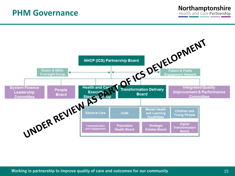### **PHM Governance**



Northamptonshire **Health and Care Partnership**